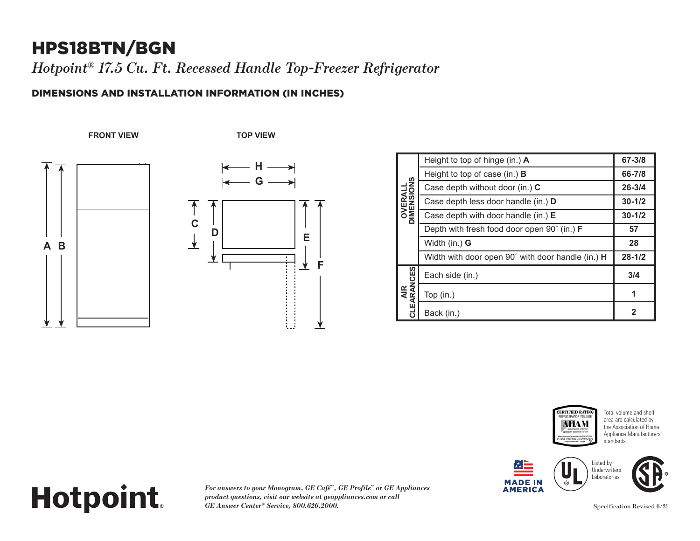### HPS18BTN/BGN

*Hotpoint® 17.5 Cu. Ft. Recessed Handle Top-Freezer Refrigerator*

#### DIMENSIONS AND INSTALLATION INFORMATION (IN INCHES)

**FRONT VIEW TOP VIEW**





|  | <b>OVERALL</b><br>DIMENSIONS | Height to top of hinge (in.) A                                    | $67 - 3/8$ |
|--|------------------------------|-------------------------------------------------------------------|------------|
|  |                              | Height to top of case (in.) $\bf{B}$                              | 66-7/8     |
|  |                              | Case depth without door (in.) C                                   | $26 - 3/4$ |
|  |                              | Case depth less door handle (in.) D                               | $30 - 1/2$ |
|  |                              | Case depth with door handle (in.) $E$                             | $30 - 1/2$ |
|  |                              | Depth with fresh food door open 90° (in.) F                       | 57         |
|  |                              | Width $(in.)$ G                                                   | 28         |
|  |                              | Width with door open $90^{\circ}$ with door handle (in.) <b>H</b> | $28 - 1/2$ |
|  | w<br>AIR<br>CLEARANCES       | Each side (in.)                                                   | 3/4        |
|  |                              | Top (in.)                                                         |            |
|  |                              | Back (in.)                                                        | 2          |











## **Hotpoint. CLEARANCES**

*For answers to your Monogram, GE Café™, GE Profile™ or GE Appliances product questions, visit our website at geappliances.com or call*  **2***GE Answer Center® Service, 800.626.2000.*

Specification Revised 6/21